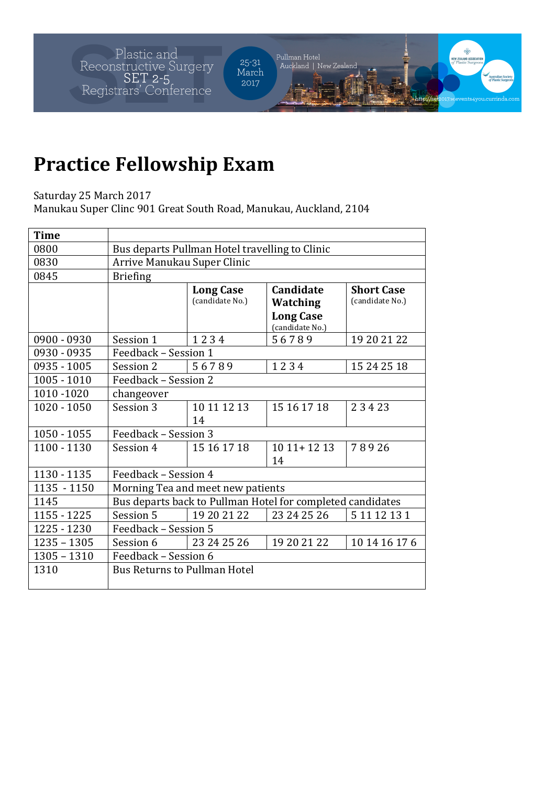Plastic and<br>Reconstructive Surgery<br>SET 2-5<br>Registrars' Conference

Pullman Hotel<br>| Auckland | New Zealand 25-31<br>March 2017

http://s

## **Practice Fellowship Exam**

Saturday 25 March 2017

Manukau Super Clinc 901 Great South Road, Manukau, Auckland, 2104

| <b>Time</b>   |                                                            |                                     |                                                                            |                                      |  |  |  |
|---------------|------------------------------------------------------------|-------------------------------------|----------------------------------------------------------------------------|--------------------------------------|--|--|--|
| 0800          | Bus departs Pullman Hotel travelling to Clinic             |                                     |                                                                            |                                      |  |  |  |
| 0830          | Arrive Manukau Super Clinic                                |                                     |                                                                            |                                      |  |  |  |
| 0845          | <b>Briefing</b>                                            |                                     |                                                                            |                                      |  |  |  |
|               |                                                            | <b>Long Case</b><br>(candidate No.) | <b>Candidate</b><br><b>Watching</b><br><b>Long Case</b><br>(candidate No.) | <b>Short Case</b><br>(candidate No.) |  |  |  |
| $0900 - 0930$ | Session 1                                                  | 1234                                | 56789                                                                      | 19 20 21 22                          |  |  |  |
| 0930 - 0935   | Feedback - Session 1                                       |                                     |                                                                            |                                      |  |  |  |
| 0935 - 1005   | Session 2                                                  | 56789                               | 1234                                                                       | 15 24 25 18                          |  |  |  |
| $1005 - 1010$ | Feedback - Session 2                                       |                                     |                                                                            |                                      |  |  |  |
| 1010-1020     | changeover                                                 |                                     |                                                                            |                                      |  |  |  |
| $1020 - 1050$ | Session 3                                                  | 10 11 12 13<br>14                   | 15 16 17 18                                                                | 23423                                |  |  |  |
| $1050 - 1055$ | Feedback - Session 3                                       |                                     |                                                                            |                                      |  |  |  |
| 1100 - 1130   | Session 4                                                  | 15 16 17 18                         | $1011+1213$<br>14                                                          | 78926                                |  |  |  |
| 1130 - 1135   | Feedback - Session 4                                       |                                     |                                                                            |                                      |  |  |  |
| 1135 - 1150   | Morning Tea and meet new patients                          |                                     |                                                                            |                                      |  |  |  |
| 1145          | Bus departs back to Pullman Hotel for completed candidates |                                     |                                                                            |                                      |  |  |  |
| 1155 - 1225   | Session 5                                                  | 19 20 21 22                         | 23 24 25 26                                                                | 5 11 12 13 1                         |  |  |  |
| 1225 - 1230   | Feedback - Session 5                                       |                                     |                                                                            |                                      |  |  |  |
| $1235 - 1305$ | Session 6                                                  | 23 24 25 26                         | 19 20 21 22                                                                | 10 14 16 17 6                        |  |  |  |
| $1305 - 1310$ | Feedback - Session 6                                       |                                     |                                                                            |                                      |  |  |  |
| 1310          | <b>Bus Returns to Pullman Hotel</b>                        |                                     |                                                                            |                                      |  |  |  |
|               |                                                            |                                     |                                                                            |                                      |  |  |  |